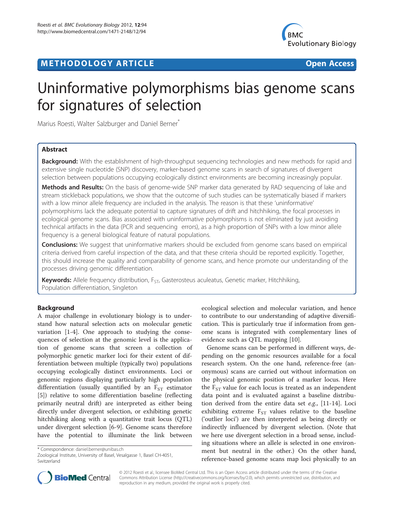## METHODOLOGY ARTICLE And the open Access open Access



# Uninformative polymorphisms bias genome scans for signatures of selection

Marius Roesti, Walter Salzburger and Daniel Berner<sup>®</sup>

## Abstract

**Background:** With the establishment of high-throughput sequencing technologies and new methods for rapid and extensive single nucleotide (SNP) discovery, marker-based genome scans in search of signatures of divergent selection between populations occupying ecologically distinct environments are becoming increasingly popular.

Methods and Results: On the basis of genome-wide SNP marker data generated by RAD sequencing of lake and stream stickleback populations, we show that the outcome of such studies can be systematically biased if markers with a low minor allele frequency are included in the analysis. The reason is that these 'uninformative' polymorphisms lack the adequate potential to capture signatures of drift and hitchhiking, the focal processes in ecological genome scans. Bias associated with uninformative polymorphisms is not eliminated by just avoiding technical artifacts in the data (PCR and sequencing errors), as a high proportion of SNPs with a low minor allele frequency is a general biological feature of natural populations.

**Conclusions:** We suggest that uninformative markers should be excluded from genome scans based on empirical criteria derived from careful inspection of the data, and that these criteria should be reported explicitly. Together, this should increase the quality and comparability of genome scans, and hence promote our understanding of the processes driving genomic differentiation.

Keywords: Allele frequency distribution, F<sub>ST</sub>, Gasterosteus aculeatus, Genetic marker, Hitchhiking, Population differentiation, Singleton

## Background

A major challenge in evolutionary biology is to understand how natural selection acts on molecular genetic variation [\[1](#page-6-0)-[4\]](#page-6-0). One approach to studying the consequences of selection at the genomic level is the application of genome scans that screen a collection of polymorphic genetic marker loci for their extent of differentiation between multiple (typically two) populations occupying ecologically distinct environments. Loci or genomic regions displaying particularly high population differentiation (usually quantified by an  $F_{ST}$  estimator [[5\]](#page-6-0)) relative to some differentiation baseline (reflecting primarily neutral drift) are interpreted as either being directly under divergent selection, or exhibiting genetic hitchhiking along with a quantitative trait locus (QTL) under divergent selection [\[6-9](#page-6-0)]. Genome scans therefore have the potential to illuminate the link between

\* Correspondence: [daniel.berner@unibas.ch](mailto:daniel.berner@unibas.ch)

Zoological Institute, University of Basel, Vesalgasse 1, Basel CH-4051, Switzerland



Genome scans can be performed in different ways, depending on the genomic resources available for a focal research system. On the one hand, reference-free (anonymous) scans are carried out without information on the physical genomic position of a marker locus. Here the  $F_{ST}$  value for each locus is treated as an independent data point and is evaluated against a baseline distribution derived from the entire data set e.g., [\[11-14](#page-6-0)]. Loci exhibiting extreme  $F_{ST}$  values relative to the baseline ('outlier loci') are then interpreted as being directly or indirectly influenced by divergent selection. (Note that we here use divergent selection in a broad sense, including situations where an allele is selected in one environment but neutral in the other.) On the other hand, reference-based genome scans map loci physically to an



© 2012 Roesti et al.; licensee BioMed Central Ltd. This is an Open Access article distributed under the terms of the Creative Commons Attribution License [\(http://creativecommons.org/licenses/by/2.0\)](http://creativecommons.org/licenses/by/2.0), which permits unrestricted use, distribution, and reproduction in any medium, provided the original work is properly cited.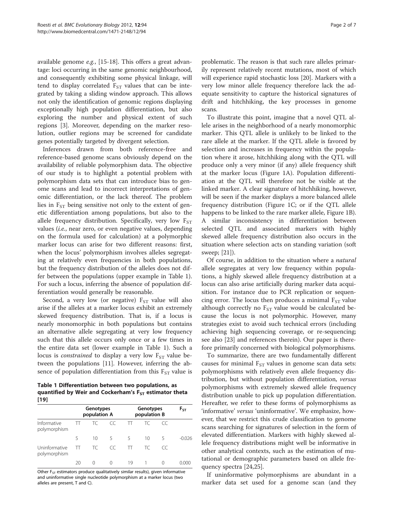available genome e.g., [[15-18\]](#page-6-0). This offers a great advantage: loci occurring in the same genomic neighbourhood, and consequently exhibiting some physical linkage, will tend to display correlated  $F_{ST}$  values that can be integrated by taking a sliding window approach. This allows not only the identification of genomic regions displaying exceptionally high population differentiation, but also exploring the number and physical extent of such regions [\[3](#page-6-0)]. Moreover, depending on the marker resolution, outlier regions may be screened for candidate genes potentially targeted by divergent selection.

Inferences drawn from both reference-free and reference-based genome scans obviously depend on the availability of reliable polymorphism data. The objective of our study is to highlight a potential problem with polymorphism data sets that can introduce bias to genome scans and lead to incorrect interpretations of genomic differentiation, or the lack thereof. The problem lies in  $F_{ST}$  being sensitive not only to the extent of genetic differentiation among populations, but also to the allele frequency distribution. Specifically, very low  $F_{ST}$ values (i.e., near zero, or even negative values, depending on the formula used for calculation) at a polymorphic marker locus can arise for two different reasons: first, when the locus' polymorphism involves alleles segregating at relatively even frequencies in both populations, but the frequency distribution of the alleles does not differ between the populations (upper example in Table 1). For such a locus, inferring the absence of population differentiation would generally be reasonable.

Second, a very low (or negative)  $F_{ST}$  value will also arise if the alleles at a marker locus exhibit an extremely skewed frequency distribution. That is, if a locus is nearly monomorphic in both populations but contains an alternative allele segregating at very low frequency such that this allele occurs only once or a few times in the entire data set (lower example in Table 1). Such a locus is *constrained* to display a very low  $F_{ST}$  value between the populations [\[11](#page-6-0)]. However, inferring the absence of population differentiation from this  $\mathrm{F}_{\mathrm{ST}}$  value is

Table 1 Differentiation between two populations, as quantified by Weir and Cockerham's  $F_{ST}$  estimator theta [[19](#page-6-0)]

| .                             |                           |    |        |                           |     |    |          |
|-------------------------------|---------------------------|----|--------|---------------------------|-----|----|----------|
| Informative<br>polymorphism   | Genotypes<br>population A |    |        | Genotypes<br>population B |     |    | $F_{ST}$ |
|                               | TT                        | TC | CC     | $\top$                    | TC. | CC |          |
|                               | 5                         | 10 | 5      | 5                         | 10  | 5  | $-0.026$ |
| Uninformative<br>polymorphism | $_{\rm{TT}}$              | TC | CC     | $\top$                    | TC  | CC |          |
|                               | 20                        | ∩  | $\cap$ | 19                        |     | 0  |          |

Other  $F_{ST}$  estimators produce qualitatively similar results), given informative and uninformative single nucleotide polymorphism at a marker locus (two alleles are present, T and C).

problematic. The reason is that such rare alleles primarily represent relatively recent mutations, most of which will experience rapid stochastic loss [[20\]](#page-6-0). Markers with a very low minor allele frequency therefore lack the adequate sensitivity to capture the historical signatures of drift and hitchhiking, the key processes in genome scans.

To illustrate this point, imagine that a novel QTL allele arises in the neighborhood of a nearly monomorphic marker. This QTL allele is unlikely to be linked to the rare allele at the marker. If the QTL allele is favored by selection and increases in frequency within the population where it arose, hitchhiking along with the QTL will produce only a very minor (if any) allele frequency shift at the marker locus (Figure [1A](#page-2-0)). Population differentiation at the QTL will therefore not be visible at the linked marker. A clear signature of hitchhiking, however, will be seen if the marker displays a more balanced allele frequency distribution (Figure [1C](#page-2-0); or if the QTL allele happens to be linked to the rare marker allele, Figure [1B](#page-2-0)). A similar inconsistency in differentiation between selected QTL and associated markers with highly skewed allele frequency distribution also occurs in the situation where selection acts on standing variation (soft sweep; [[21](#page-6-0)]).

Of course, in addition to the situation where a natural allele segregates at very low frequency within populations, a highly skewed allele frequency distribution at a locus can also arise artificially during marker data acquisition. For instance due to PCR replication or sequencing error. The locus then produces a minimal  $F_{ST}$  value although correctly no  $F_{ST}$  value would be calculated because the locus is not polymorphic. However, many strategies exist to avoid such technical errors (including achieving high sequencing coverage, or re-sequencing; see also [[23](#page-6-0)] and references therein). Our paper is therefore primarily concerned with biological polymorphisms.

To summarize, there are two fundamentally different causes for minimal  $F_{ST}$  values in genome scan data sets: polymorphisms with relatively even allele frequency distribution, but without population differentiation, versus polymorphisms with extremely skewed allele frequency distribution unable to pick up population differentiation. Hereafter, we refer to these forms of polymorphisms as 'informative' versus 'uninformative'. We emphasize, however, that we restrict this crude classification to genome scans searching for signatures of selection in the form of elevated differentiation. Markers with highly skewed allele frequency distributions might well be informative in other analytical contexts, such as the estimation of mutational or demographic parameters based on allele frequency spectra [\[24,25\]](#page-6-0).

If uninformative polymorphisms are abundant in a marker data set used for a genome scan (and they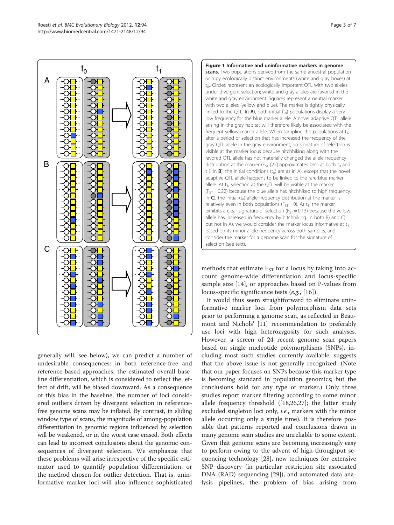generally will, see below), we can predict a number of undesirable consequences: in both reference-free and reference-based approaches, the estimated overall baseline differentiation, which is considered to reflect the effect of drift, will be biased downward. As a consequence of this bias in the baseline, the number of loci considered outliers driven by divergent selection in referencefree genome scans may be inflated. By contrast, in sliding window type of scans, the magnitude of among-population differentiation in genomic regions influenced by selection will be weakened, or in the worst case erased. Both effects can lead to incorrect conclusions about the genomic consequences of divergent selection. We emphasize that these problems will arise irrespective of the specific estimator used to quantify population differentiation, or the method chosen for outlier detection. That is, uninformative marker loci will also influence sophisticated

methods that estimate  $F_{ST}$  for a locus by taking into account genome-wide differentiation and locus-specific sample size [[14](#page-6-0)], or approaches based on P-values from locus-specific significance tests (e.g., [[16\]](#page-6-0)).

It would thus seem straightforward to eliminate uninformative marker loci from polymorphism data sets prior to performing a genome scan, as reflected in Beaumont and Nichols' [\[11](#page-6-0)] recommendation to preferably use loci with high heterozygosity for such analyses. However, a screen of 24 recent genome scan papers based on single nucleotide polymorphisms (SNPs), including most such studies currently available, suggests that the above issue is not generally recognized. (Note that our paper focuses on SNPs because this marker type is becoming standard in population genomics; but the conclusions hold for any type of marker.) Only three studies report marker filtering according to some minor allele frequency threshold ([[18,26,27\]](#page-6-0); the latter study excluded singleton loci only, *i.e.*, markers with the minor allele occurring only a single time). It is therefore possible that patterns reported and conclusions drawn in many genome scan studies are unreliable to some extent. Given that genome scans are becoming increasingly easy to perform owing to the advent of high-throughput sequencing technology [[28\]](#page-6-0), new techniques for extensive SNP discovery (in particular restriction site associated DNA (RAD) sequencing [[29](#page-6-0)]), and automated data analysis pipelines, the problem of bias arising from

In  $C$ ), the initial (t<sub>0</sub>) allele frequency distribution at the marker is relatively even in both populations ( $F_{ST} = 0$ ). At t<sub>1</sub>, the marker exhibits a clear signature of selection ( $F_{ST}$  = 0.13) because the yellow allele has increased in frequency by hitchhiking. In both B) and C) but not in A), we would consider the marker locus informative at  $t_1$ based on its minor allele frequency across both samples, and consider the marker for a genome scan for the signature of selection (see text).

Figure 1 Informative and uninformative markers in genome scans. Two populations derived from the same ancestral population occupy ecologically distinct environments (white and gray boxes) at  $t<sub>0</sub>$ . Circles represent an ecologically important QTL with two alleles under divergent selection; white and gray alleles are favored in the white and gray environment. Squares represent a neutral marker with two alleles (yellow and blue). The marker is tightly physically linked to the QTL. In  $\mathsf{A}$ ), both initial (t<sub>0</sub>) populations display a very low frequency for the blue marker allele. A novel adaptive QTL allele arising in the gray habitat will therefore likely be associated with the frequent yellow marker allele. When sampling the populations at  $t_1$ , after a period of selection that has increased the frequency of the gray QTL allele in the gray environment, no signature of selection is visible at the marker locus because hitchhiking along with the favored QTL allele has not materially changed the allele frequency distribution at the marker ( $F_{ST}$  [[22](#page-6-0)] approximates zero at both  $t_0$  and  $t_1$ ). In **B**), the initial conditions ( $t_0$ ) are as in A), except that the novel adaptive QTL allele happens to be linked to the rare blue marker allele. At  $t_1$ , selection at the QTL will be visible at the marker  $(F<sub>ST</sub> = 0.22)$  because the blue allele has hitchhiked to high frequency.

<span id="page-2-0"></span>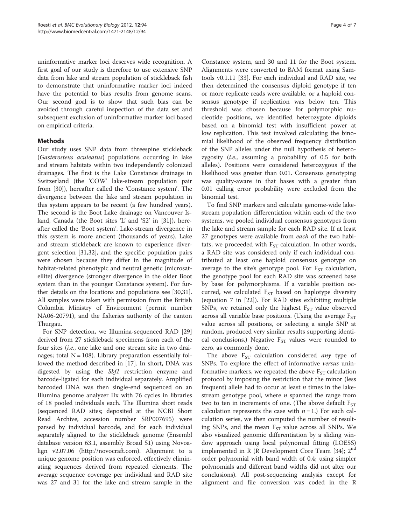uninformative marker loci deserves wide recognition. A first goal of our study is therefore to use extensive SNP data from lake and stream population of stickleback fish to demonstrate that uninformative marker loci indeed have the potential to bias results from genome scans. Our second goal is to show that such bias can be avoided through careful inspection of the data set and subsequent exclusion of uninformative marker loci based on empirical criteria.

## Methods

Our study uses SNP data from threespine stickleback (Gasterosteus aculeatus) populations occurring in lake and stream habitats within two independently colonized drainages. The first is the Lake Constance drainage in Switzerland (the 'COW' lake-stream population pair from [[30](#page-6-0)]), hereafter called the 'Constance system'. The divergence between the lake and stream population in this system appears to be recent (a few hundred years). The second is the Boot Lake drainage on Vancouver Island, Canada (the Boot sites 'L' and 'S2' in [[31](#page-6-0)]), hereafter called the 'Boot system'. Lake-stream divergence in this system is more ancient (thousands of years). Lake and stream stickleback are known to experience divergent selection [[31](#page-6-0),[32](#page-6-0)], and the specific population pairs were chosen because they differ in the magnitude of habitat-related phenotypic and neutral genetic (microsatellite) divergence (stronger divergence in the older Boot system than in the younger Constance system). For further details on the locations and populations see [\[30,31](#page-6-0)]. All samples were taken with permission from the British Columbia Ministry of Environment (permit number NA06-20791), and the fisheries authority of the canton Thurgau.

For SNP detection, we Illumina-sequenced RAD [[29](#page-6-0)] derived from 27 stickleback specimens from each of the four sites (i.e., one lake and one stream site in two drainages; total  $N = 108$ ). Library preparation essentially followed the method described in [[17](#page-6-0)]. In short, DNA was digested by using the *Sbf1* restriction enzyme and barcode-ligated for each individual separately. Amplified barcoded DNA was then single-end sequenced on an Illumina genome analyzer IIx with 76 cycles in libraries of 18 pooled individuals each. The Illumina short reads (sequenced RAD sites; deposited at the NCBI Short Read Archive, accession number SRP007695) were parsed by individual barcode, and for each individual separately aligned to the stickleback genome (Ensembl database version 63.1, assembly Broad S1) using Novoalign v2.07.06 ([http://novocraft.com\)](http://novocraft.com). Alignment to a unique genome position was enforced, effectively eliminating sequences derived from repeated elements. The average sequence coverage per individual and RAD site was 27 and 31 for the lake and stream sample in the

Constance system, and 30 and 11 for the Boot system. Alignments were converted to BAM format using Samtools v0.1.11 [\[33](#page-6-0)]. For each individual and RAD site, we then determined the consensus diploid genotype if ten or more replicate reads were available, or a haploid consensus genotype if replication was below ten. This threshold was chosen because for polymorphic nucleotide positions, we identified heterozygote diploids based on a binomial test with insufficient power at low replication. This test involved calculating the binomial likelihood of the observed frequency distribution of the SNP alleles under the null hypothesis of heterozygosity (i.e., assuming a probability of 0.5 for both alleles). Positions were considered heterozygous if the likelihood was greater than 0.01. Consensus genotyping was quality-aware in that bases with a greater than 0.01 calling error probability were excluded from the binomial test.

To find SNP markers and calculate genome-wide lakestream population differentiation within each of the two systems, we pooled individual consensus genotypes from the lake and stream sample for each RAD site. If at least 27 genotypes were available from each of the two habitats, we proceeded with  $F_{ST}$  calculation. In other words, a RAD site was considered only if each individual contributed at least one haploid consensus genotype on average to the site's genotype pool. For  $F_{ST}$  calculation, the genotype pool for each RAD site was screened base by base for polymorphisms. If a variable position occurred, we calculated  $F_{ST}$  based on haplotype diversity (equation 7 in [\[22](#page-6-0)]). For RAD sites exhibiting multiple SNPs, we retained only the highest  $F_{ST}$  value observed across all variable base positions. (Using the average  $F_{ST}$ value across all positions, or selecting a single SNP at random, produced very similar results supporting identical conclusions.) Negative  $F_{ST}$  values were rounded to zero, as commonly done.

The above  $F_{ST}$  calculation considered *any* type of SNPs. To explore the effect of informative versus uninformative markers, we repeated the above  $F_{ST}$  calculation protocol by imposing the restriction that the minor (less frequent) allele had to occur at least  $n$  times in the lakestream genotype pool, where  $n$  spanned the range from two to ten in increments of one. (The above default  $F_{ST}$ calculation represents the case with  $n = 1$ .) For each calculation series, we then computed the number of resulting SNPs, and the mean  $F_{ST}$  value across all SNPs. We also visualized genomic differentiation by a sliding window approach using local polynomial fitting (LOESS) implemented in R (R Development Core Team [\[34\]](#page-6-0);  $2<sup>nd</sup>$ order polynomial with band width of 0.4; using simpler polynomials and different band widths did not alter our conclusions). All post-sequencing analysis except for alignment and file conversion was coded in the R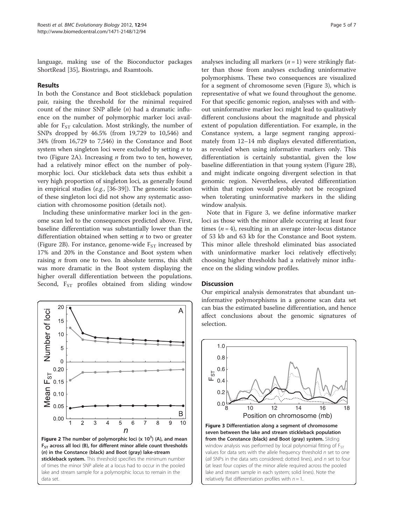language, making use of the Bioconductor packages ShortRead [\[35\]](#page-6-0), Biostrings, and Rsamtools.

## Results

In both the Constance and Boot stickleback population pair, raising the threshold for the minimal required count of the minor SNP allele  $(n)$  had a dramatic influence on the number of polymorphic marker loci available for  $F_{ST}$  calculation. Most strikingly, the number of SNPs dropped by 46.5% (from 19,729 to 10,546) and 34% (from 16,729 to 7,546) in the Constance and Boot system when singleton loci were excluded by setting  $n$  to two (Figure 2A). Increasing  $n$  from two to ten, however, had a relatively minor effect on the number of polymorphic loci. Our stickleback data sets thus exhibit a very high proportion of singleton loci, as generally found in empirical studies (e.g., [\[36](#page-6-0)-[39](#page-6-0)]). The genomic location of these singleton loci did not show any systematic association with chromosome position (details not).

Including these uninformative marker loci in the genome scan led to the consequences predicted above. First, baseline differentiation was substantially lower than the differentiation obtained when setting  $n$  to two or greater (Figure 2B). For instance, genome-wide  $F_{ST}$  increased by 17% and 20% in the Constance and Boot system when raising  $n$  from one to two. In absolute terms, this shift was more dramatic in the Boot system displaying the higher overall differentiation between the populations. Second,  $F_{ST}$  profiles obtained from sliding window



analyses including all markers  $(n = 1)$  were strikingly flatter than those from analyses excluding uninformative polymorphisms. These two consequences are visualized for a segment of chromosome seven (Figure 3), which is representative of what we found throughout the genome. For that specific genomic region, analyses with and without uninformative marker loci might lead to qualitatively different conclusions about the magnitude and physical extent of population differentiation. For example, in the Constance system, a large segment ranging approximately from 12–14 mb displays elevated differentiation, as revealed when using informative markers only. This differentiation is certainly substantial, given the low baseline differentiation in that young system (Figure 2B), and might indicate ongoing divergent selection in that genomic region. Nevertheless, elevated differentiation within that region would probably not be recognized when tolerating uninformative markers in the sliding window analysis.

Note that in Figure 3, we define informative marker loci as those with the minor allele occurring at least four times  $(n = 4)$ , resulting in an average inter-locus distance of 53 kb and 63 kb for the Constance and Boot system. This minor allele threshold eliminated bias associated with uninformative marker loci relatively effectively; choosing higher thresholds had a relatively minor influence on the sliding window profiles.

## **Discussion**

Our empirical analysis demonstrates that abundant uninformative polymorphisms in a genome scan data set can bias the estimated baseline differentiation, and hence affect conclusions about the genomic signatures of selection.

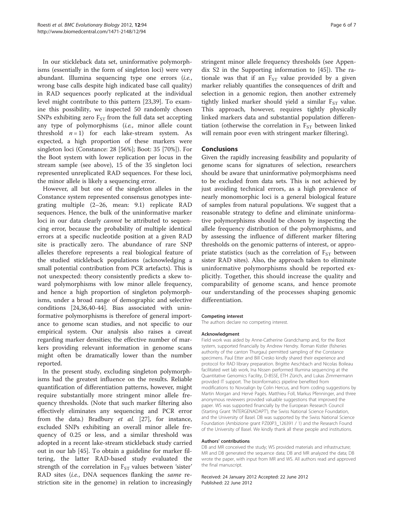In our stickleback data set, uninformative polymorphisms (essentially in the form of singleton loci) were very abundant. Illumina sequencing type one errors  $(i.e.,$ wrong base calls despite high indicated base call quality) in RAD sequences poorly replicated at the individual level might contribute to this pattern [\[23,39\]](#page-6-0). To examine this possibility, we inspected 50 randomly chosen SNPs exhibiting zero  $F_{ST}$  from the full data set accepting any type of polymorphisms (i.e., minor allele count threshold  $n = 1$ ) for each lake-stream system. As expected, a high proportion of these markers were singleton loci (Constance: 28 [56%]; Boot: 35 [70%]). For the Boot system with lower replication per locus in the stream sample (see above), 15 of the 35 singleton loci represented unreplicated RAD sequences. For these loci, the minor allele is likely a sequencing error.

However, all but one of the singleton alleles in the Constance system represented consensus genotypes integrating multiple (2–26, mean: 9.1) replicate RAD sequences. Hence, the bulk of the uninformative marker loci in our data clearly *cannot* be attributed to sequencing error, because the probability of multiple identical errors at a specific nucleotide position at a given RAD site is practically zero. The abundance of rare SNP alleles therefore represents a real biological feature of the studied stickleback populations (acknowledging a small potential contribution from PCR artefacts). This is not unexpected: theory consistently predicts a skew toward polymorphisms with low minor allele frequency, and hence a high proportion of singleton polymorphisms, under a broad range of demographic and selective conditions [\[24,36,40-44](#page-6-0)]. Bias associated with uninformative polymorphisms is therefore of general importance to genome scan studies, and not specific to our empirical system. Our analysis also raises a caveat regarding marker densities; the effective number of markers providing relevant information in genome scans might often be dramatically lower than the number reported.

In the present study, excluding singleton polymorphisms had the greatest influence on the results. Reliable quantification of differentiation patterns, however, might require substantially more stringent minor allele frequency thresholds. (Note that such marker filtering also effectively eliminates any sequencing and PCR error from the data.) Bradbury *et al.* [[27](#page-6-0)], for instance, excluded SNPs exhibiting an overall minor allele frequency of 0.25 or less, and a similar threshold was adopted in a recent lake-stream stickleback study carried out in our lab [[45\]](#page-6-0). To obtain a guideline for marker filtering, the latter RAD-based study evaluated the strength of the correlation in  $F_{ST}$  values between 'sister' RAD sites (*i.e.*, DNA sequences flanking the *same* restriction site in the genome) in relation to increasingly stringent minor allele frequency thresholds (see Appendix S2 in the Supporting information to [[45\]](#page-6-0)). The rationale was that if an  $F_{ST}$  value provided by a given marker reliably quantifies the consequences of drift and selection in a genomic region, then another extremely tightly linked marker should yield a similar  $F_{ST}$  value. This approach, however, requires tightly physically linked markers data and substantial population differentiation (otherwise the correlation in  $F_{ST}$  between linked will remain poor even with stringent marker filtering).

## Conclusions

Given the rapidly increasing feasibility and popularity of genome scans for signatures of selection, researchers should be aware that uninformative polymorphisms need to be excluded from data sets. This is not achieved by just avoiding technical errors, as a high prevalence of nearly monomorphic loci is a general biological feature of samples from natural populations. We suggest that a reasonable strategy to define and eliminate uninformative polymorphisms should be chosen by inspecting the allele frequency distribution of the polymorphisms, and by assessing the influence of different marker filtering thresholds on the genomic patterns of interest, or appropriate statistics (such as the correlation of  $F_{ST}$  between sister RAD sites). Also, the approach taken to eliminate uninformative polymorphisms should be reported explicitly. Together, this should increase the quality and comparability of genome scans, and hence promote our understanding of the processes shaping genomic differentiation.

#### Competing interest

The authors declare no competing interest.

#### Acknowledgment

Field work was aided by Anne-Catherine Grandchamp and, for the Boot system, supported financially by Andrew Hendry. Roman Kistler (fisheries authority of the canton Thurgau) permitted sampling of the Constance specimens. Paul Etter and Bill Cresko kindly shared their experience and protocol for RAD library preparation. Brigitte Aeschbach and Nicolas Boileau facilitated wet lab work, Ina Nissen performed Illumina sequencing at the Quantitative Genomics Facility, D-BSSE, ETH Zürich, and Lukas Zimmermann provided IT support. The bioinformatics pipeline benefited from modifications to Novoalign by Colin Hercus, and from coding suggestions by Martin Morgan and Hervé Pagès. Matthieu Foll, Markus Pfenninger, and three anonymous reviewers provided valuable suggestions that improved the paper. WS was supported financially by the European Research Council (Starting Grant 'INTERGENADAPT'), the Swiss National Science Foundation, and the University of Basel. DB was supported by the Swiss National Science Foundation (Ambizione grant PZ00P3\_126391 / 1) and the Research Found of the University of Basel. We kindly thank all these people and institutions.

#### Authors' contributions

DB and MR conceived the study; WS provided materials and infrastructure; MR and DB generated the sequence data; DB and MR analyzed the data; DB wrote the paper, with input from MR and WS. All authors read and approved the final manuscript.

#### Received: 24 January 2012 Accepted: 22 June 2012 Published: 22 June 2012